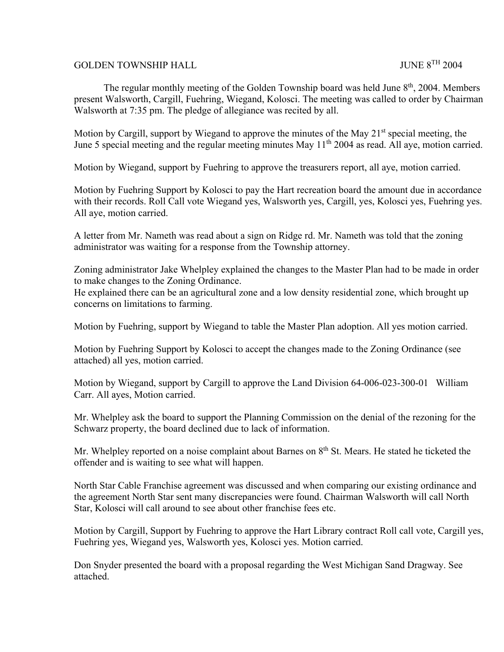## GOLDEN TOWNSHIP HALL **SEE ALL SEE ALL SEE ALL SEE ALL SEE ALL** SUNE 8<sup>TH</sup> 2004

The regular monthly meeting of the Golden Township board was held June  $8<sup>th</sup>$ , 2004. Members present Walsworth, Cargill, Fuehring, Wiegand, Kolosci. The meeting was called to order by Chairman Walsworth at 7:35 pm. The pledge of allegiance was recited by all.

Motion by Cargill, support by Wiegand to approve the minutes of the May 21<sup>st</sup> special meeting, the June 5 special meeting and the regular meeting minutes May  $11<sup>th</sup>$  2004 as read. All aye, motion carried.

Motion by Wiegand, support by Fuehring to approve the treasurers report, all aye, motion carried.

Motion by Fuehring Support by Kolosci to pay the Hart recreation board the amount due in accordance with their records. Roll Call vote Wiegand yes, Walsworth yes, Cargill, yes, Kolosci yes, Fuehring yes. All aye, motion carried.

A letter from Mr. Nameth was read about a sign on Ridge rd. Mr. Nameth was told that the zoning administrator was waiting for a response from the Township attorney.

Zoning administrator Jake Whelpley explained the changes to the Master Plan had to be made in order to make changes to the Zoning Ordinance.

He explained there can be an agricultural zone and a low density residential zone, which brought up concerns on limitations to farming.

Motion by Fuehring, support by Wiegand to table the Master Plan adoption. All yes motion carried.

Motion by Fuehring Support by Kolosci to accept the changes made to the Zoning Ordinance (see attached) all yes, motion carried.

Motion by Wiegand, support by Cargill to approve the Land Division 64-006-023-300-01 William Carr. All ayes, Motion carried.

Mr. Whelpley ask the board to support the Planning Commission on the denial of the rezoning for the Schwarz property, the board declined due to lack of information.

Mr. Whelpley reported on a noise complaint about Barnes on  $8<sup>th</sup>$  St. Mears. He stated he ticketed the offender and is waiting to see what will happen.

North Star Cable Franchise agreement was discussed and when comparing our existing ordinance and the agreement North Star sent many discrepancies were found. Chairman Walsworth will call North Star, Kolosci will call around to see about other franchise fees etc.

Motion by Cargill, Support by Fuehring to approve the Hart Library contract Roll call vote, Cargill yes, Fuehring yes, Wiegand yes, Walsworth yes, Kolosci yes. Motion carried.

Don Snyder presented the board with a proposal regarding the West Michigan Sand Dragway. See attached.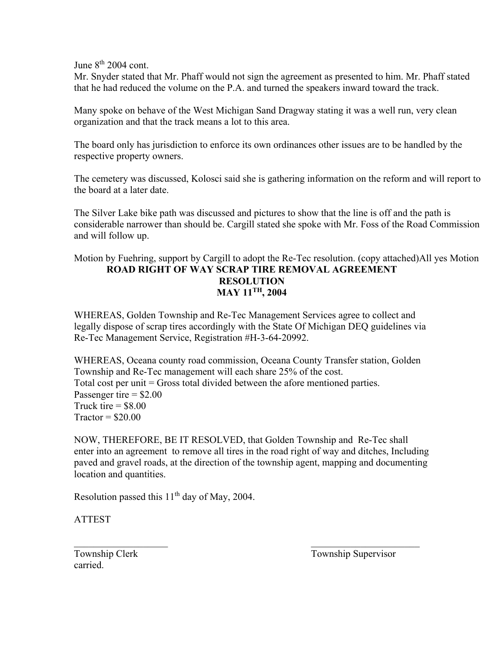June  $8<sup>th</sup>$  2004 cont.

Mr. Snyder stated that Mr. Phaff would not sign the agreement as presented to him. Mr. Phaff stated that he had reduced the volume on the P.A. and turned the speakers inward toward the track.

Many spoke on behave of the West Michigan Sand Dragway stating it was a well run, very clean organization and that the track means a lot to this area.

The board only has jurisdiction to enforce its own ordinances other issues are to be handled by the respective property owners.

The cemetery was discussed, Kolosci said she is gathering information on the reform and will report to the board at a later date.

The Silver Lake bike path was discussed and pictures to show that the line is off and the path is considerable narrower than should be. Cargill stated she spoke with Mr. Foss of the Road Commission and will follow up.

## Motion by Fuehring, support by Cargill to adopt the Re-Tec resolution. (copy attached)All yes Motion **ROAD RIGHT OF WAY SCRAP TIRE REMOVAL AGREEMENT RESOLUTION MAY 11TH, 2004**

WHEREAS, Golden Township and Re-Tec Management Services agree to collect and legally dispose of scrap tires accordingly with the State Of Michigan DEQ guidelines via Re-Tec Management Service, Registration #H-3-64-20992.

WHEREAS, Oceana county road commission, Oceana County Transfer station, Golden Township and Re-Tec management will each share 25% of the cost. Total cost per unit = Gross total divided between the afore mentioned parties. Passenger tire  $=$  \$2.00 Truck tire  $=$  \$8.00  $Traction = $20.00$ 

NOW, THEREFORE, BE IT RESOLVED, that Golden Township and Re-Tec shall enter into an agreement to remove all tires in the road right of way and ditches, Including paved and gravel roads, at the direction of the township agent, mapping and documenting location and quantities.

 $\mathcal{L}_\mathcal{L} = \mathcal{L}_\mathcal{L} = \mathcal{L}_\mathcal{L} = \mathcal{L}_\mathcal{L} = \mathcal{L}_\mathcal{L} = \mathcal{L}_\mathcal{L} = \mathcal{L}_\mathcal{L} = \mathcal{L}_\mathcal{L} = \mathcal{L}_\mathcal{L} = \mathcal{L}_\mathcal{L} = \mathcal{L}_\mathcal{L} = \mathcal{L}_\mathcal{L} = \mathcal{L}_\mathcal{L} = \mathcal{L}_\mathcal{L} = \mathcal{L}_\mathcal{L} = \mathcal{L}_\mathcal{L} = \mathcal{L}_\mathcal{L}$ 

Resolution passed this 11<sup>th</sup> day of May, 2004.

ATTEST

carried.

Township Clerk Township Supervisor